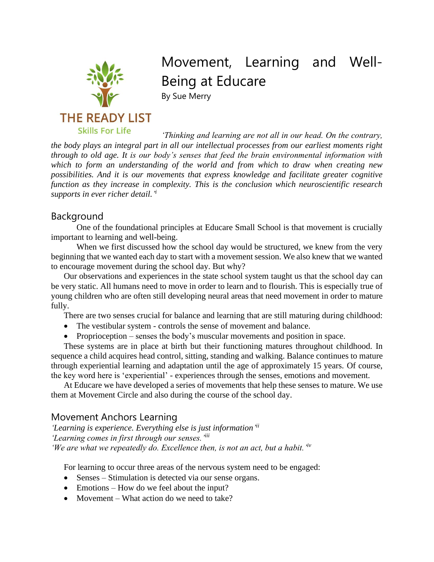

# Movement, Learning and Well-Being at Educare

By Sue Merry

*'Thinking and learning are not all in our head. On the contrary, the body plays an integral part in all our intellectual processes from our earliest moments right through to old age. It is our body's senses that feed the brain environmental information with which to form an understanding of the world and from which to draw when creating new possibilities. And it is our movements that express knowledge and facilitate greater cognitive function as they increase in complexity. This is the conclusion which neuroscientific research supports in ever richer detail.' i*

## Background

One of the foundational principles at Educare Small School is that movement is crucially important to learning and well-being.

When we first discussed how the school day would be structured, we knew from the very beginning that we wanted each day to start with a movement session. We also knew that we wanted to encourage movement during the school day. But why?

Our observations and experiences in the state school system taught us that the school day can be very static. All humans need to move in order to learn and to flourish. This is especially true of young children who are often still developing neural areas that need movement in order to mature fully.

There are two senses crucial for balance and learning that are still maturing during childhood:

- The vestibular system controls the sense of movement and balance.
- Proprioception senses the body's muscular movements and position in space.

These systems are in place at birth but their functioning matures throughout childhood. In sequence a child acquires head control, sitting, standing and walking. Balance continues to mature through experiential learning and adaptation until the age of approximately 15 years. Of course, the key word here is 'experiential' - experiences through the senses, emotions and movement.

At Educare we have developed a series of movements that help these senses to mature. We use them at Movement Circle and also during the course of the school day.

# Movement Anchors Learning

*'Learning is experience. Everything else is just information' ii 'Learning comes in first through our senses.'iii 'We are what we repeatedly do. Excellence then, is not an act, but a habit.'iv*

For learning to occur three areas of the nervous system need to be engaged:

- Senses Stimulation is detected via our sense organs.
- Emotions How do we feel about the input?
- Movement What action do we need to take?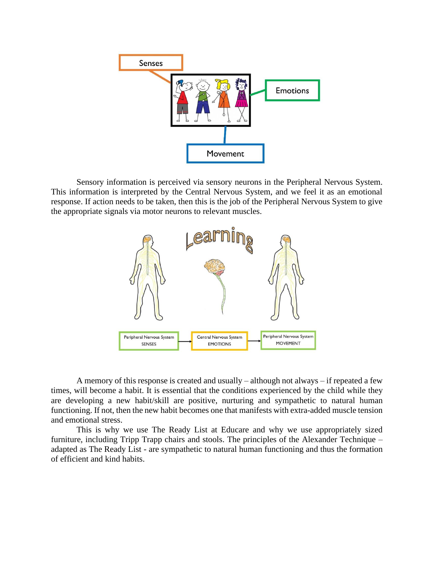

Sensory information is perceived via sensory neurons in the Peripheral Nervous System. This information is interpreted by the Central Nervous System, and we feel it as an emotional response. If action needs to be taken, then this is the job of the Peripheral Nervous System to give the appropriate signals via motor neurons to relevant muscles.



A memory of this response is created and usually – although not always – if repeated a few times, will become a habit. It is essential that the conditions experienced by the child while they are developing a new habit/skill are positive, nurturing and sympathetic to natural human functioning. If not, then the new habit becomes one that manifests with extra-added muscle tension and emotional stress.

This is why we use The Ready List at Educare and why we use appropriately sized furniture, including Tripp Trapp chairs and stools. The principles of the Alexander Technique – adapted as The Ready List - are sympathetic to natural human functioning and thus the formation of efficient and kind habits.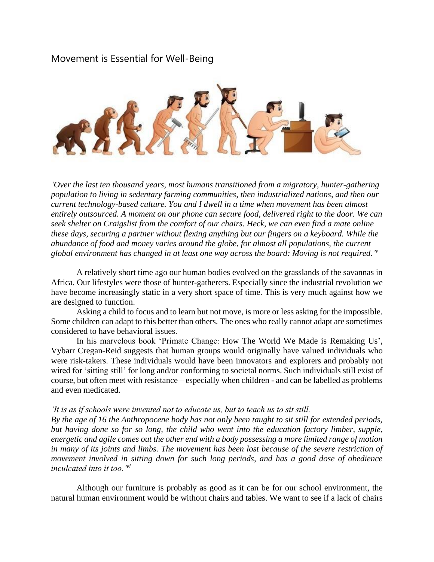## Movement is Essential for Well-Being



*'Over the last ten thousand years, most humans transitioned from a migratory, hunter-gathering population to living in sedentary farming communities, then industrialized nations, and then our current technology-based culture. You and I dwell in a time when movement has been almost entirely outsourced. A moment on our phone can secure food, delivered right to the door. We can seek shelter on Craigslist from the comfort of our chairs. Heck, we can even find a mate online these days, securing a partner without flexing anything but our fingers on a keyboard. While the abundance of food and money varies around the globe, for almost all populations, the current*  global environment has changed in at least one way across the board: Moving is not required. "

A relatively short time ago our human bodies evolved on the grasslands of the savannas in Africa. Our lifestyles were those of hunter-gatherers. Especially since the industrial revolution we have become increasingly static in a very short space of time. This is very much against how we are designed to function.

Asking a child to focus and to learn but not move, is more or less asking for the impossible. Some children can adapt to this better than others. The ones who really cannot adapt are sometimes considered to have behavioral issues.

In his marvelous book 'Primate Change*:* How The World We Made is Remaking Us', Vybarr Cregan-Reid suggests that human groups would originally have valued individuals who were risk-takers. These individuals would have been innovators and explorers and probably not wired for 'sitting still' for long and/or conforming to societal norms. Such individuals still exist of course, but often meet with resistance – especially when children - and can be labelled as problems and even medicated.

#### *'It is as if schools were invented not to educate us, but to teach us to sit still.*

*By the age of 16 the Anthropocene body has not only been taught to sit still for extended periods, but having done so for so long, the child who went into the education factory limber, supple, energetic and agile comes out the other end with a body possessing a more limited range of motion*  in many of its joints and limbs. The movement has been lost because of the severe restriction of *movement involved in sitting down for such long periods, and has a good dose of obedience inculcated into it too.'vi*

Although our furniture is probably as good as it can be for our school environment, the natural human environment would be without chairs and tables. We want to see if a lack of chairs